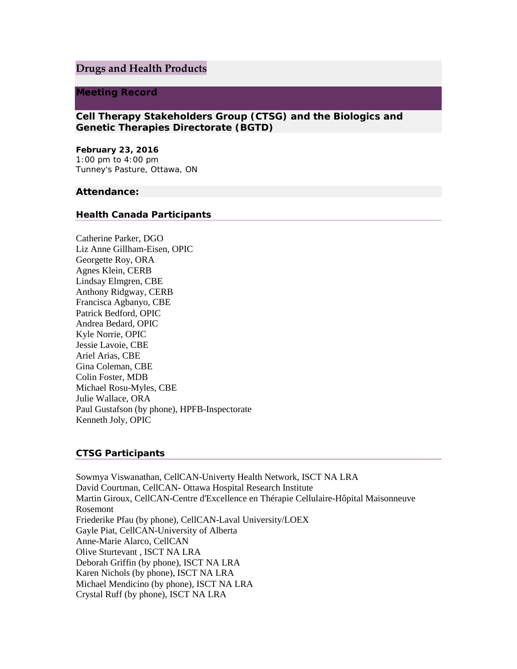# **Drugs and Health Products**

## **Meeting Record**

**Cell Therapy Stakeholders Group (CTSG) and the Biologics and Genetic Therapies Directorate (BGTD)**

**February 23, 2016** 1:00 pm to 4:00 pm Tunney's Pasture, Ottawa, ON

#### **Attendance:**

### **Health Canada Participants**

Catherine Parker, DGO Liz Anne Gillham-Eisen, OPIC Georgette Roy, ORA Agnes Klein, CERB Lindsay Elmgren, CBE Anthony Ridgway, CERB Francisca Agbanyo, CBE Patrick Bedford, OPIC Andrea Bedard, OPIC Kyle Norrie, OPIC Jessie Lavoie, CBE Ariel Arias, CBE Gina Coleman, CBE Colin Foster, MDB Michael Rosu-Myles, CBE Julie Wallace, ORA Paul Gustafson (by phone), HPFB-Inspectorate Kenneth Joly, OPIC

## **CTSG Participants**

Sowmya Viswanathan, CellCAN-Univerty Health Network, ISCT NA LRA David Courtman, CellCAN- Ottawa Hospital Research Institute Martin Giroux, CellCAN-Centre d'Excellence en Thérapie Cellulaire-Hôpital Maisonneuve Rosemont Friederike Pfau (by phone), CellCAN-Laval University/LOEX Gayle Piat, CellCAN-University of Alberta Anne-Marie Alarco, CellCAN Olive Sturtevant , ISCT NA LRA Deborah Griffin (by phone), ISCT NA LRA Karen Nichols (by phone), ISCT NA LRA Michael Mendicino (by phone), ISCT NA LRA Crystal Ruff (by phone), ISCT NA LRA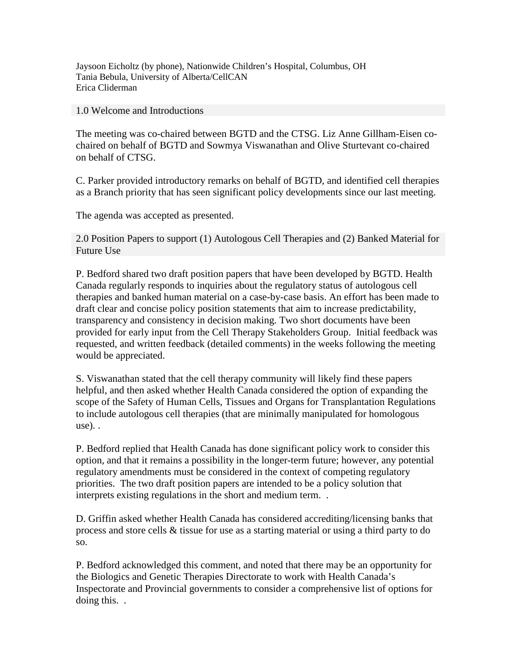Jaysoon Eicholtz (by phone), Nationwide Children's Hospital, Columbus, OH Tania Bebula, University of Alberta/CellCAN Erica Cliderman

1.0 Welcome and Introductions

The meeting was co-chaired between BGTD and the CTSG. Liz Anne Gillham-Eisen cochaired on behalf of BGTD and Sowmya Viswanathan and Olive Sturtevant co-chaired on behalf of CTSG.

C. Parker provided introductory remarks on behalf of BGTD, and identified cell therapies as a Branch priority that has seen significant policy developments since our last meeting.

The agenda was accepted as presented.

2.0 Position Papers to support (1) Autologous Cell Therapies and (2) Banked Material for Future Use

P. Bedford shared two draft position papers that have been developed by BGTD. Health Canada regularly responds to inquiries about the regulatory status of autologous cell therapies and banked human material on a case-by-case basis. An effort has been made to draft clear and concise policy position statements that aim to increase predictability, transparency and consistency in decision making. Two short documents have been provided for early input from the Cell Therapy Stakeholders Group. Initial feedback was requested, and written feedback (detailed comments) in the weeks following the meeting would be appreciated.

S. Viswanathan stated that the cell therapy community will likely find these papers helpful, and then asked whether Health Canada considered the option of expanding the scope of the Safety of Human Cells, Tissues and Organs for Transplantation Regulations to include autologous cell therapies (that are minimally manipulated for homologous use). .

P. Bedford replied that Health Canada has done significant policy work to consider this option, and that it remains a possibility in the longer-term future; however, any potential regulatory amendments must be considered in the context of competing regulatory priorities. The two draft position papers are intended to be a policy solution that interprets existing regulations in the short and medium term. .

D. Griffin asked whether Health Canada has considered accrediting/licensing banks that process and store cells & tissue for use as a starting material or using a third party to do so.

P. Bedford acknowledged this comment, and noted that there may be an opportunity for the Biologics and Genetic Therapies Directorate to work with Health Canada's Inspectorate and Provincial governments to consider a comprehensive list of options for doing this. .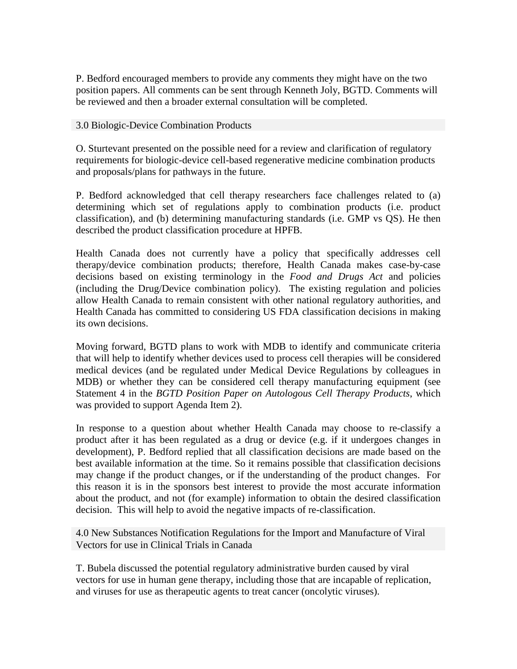P. Bedford encouraged members to provide any comments they might have on the two position papers. All comments can be sent through Kenneth Joly, BGTD. Comments will be reviewed and then a broader external consultation will be completed.

3.0 Biologic-Device Combination Products

O. Sturtevant presented on the possible need for a review and clarification of regulatory requirements for biologic-device cell-based regenerative medicine combination products and proposals/plans for pathways in the future.

P. Bedford acknowledged that cell therapy researchers face challenges related to (a) determining which set of regulations apply to combination products (i.e. product classification), and (b) determining manufacturing standards (i.e. GMP vs QS). He then described the product classification procedure at HPFB.

Health Canada does not currently have a policy that specifically addresses cell therapy/device combination products; therefore, Health Canada makes case-by-case decisions based on existing terminology in the *Food and Drugs Act* and policies (including the Drug/Device combination policy). The existing regulation and policies allow Health Canada to remain consistent with other national regulatory authorities, and Health Canada has committed to considering US FDA classification decisions in making its own decisions.

Moving forward, BGTD plans to work with MDB to identify and communicate criteria that will help to identify whether devices used to process cell therapies will be considered medical devices (and be regulated under Medical Device Regulations by colleagues in MDB) or whether they can be considered cell therapy manufacturing equipment (see Statement 4 in the *BGTD Position Paper on Autologous Cell Therapy Products*, which was provided to support Agenda Item 2).

In response to a question about whether Health Canada may choose to re-classify a product after it has been regulated as a drug or device (e.g. if it undergoes changes in development), P. Bedford replied that all classification decisions are made based on the best available information at the time. So it remains possible that classification decisions may change if the product changes, or if the understanding of the product changes. For this reason it is in the sponsors best interest to provide the most accurate information about the product, and not (for example) information to obtain the desired classification decision. This will help to avoid the negative impacts of re-classification.

4.0 New Substances Notification Regulations for the Import and Manufacture of Viral Vectors for use in Clinical Trials in Canada

T. Bubela discussed the potential regulatory administrative burden caused by viral vectors for use in human gene therapy, including those that are incapable of replication, and viruses for use as therapeutic agents to treat cancer (oncolytic viruses).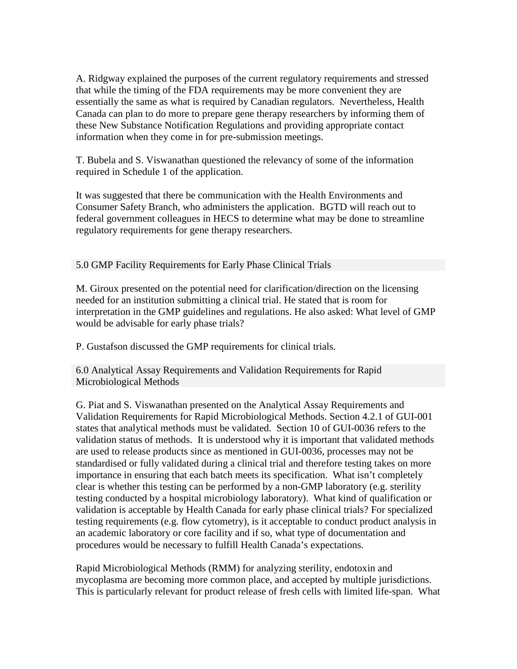A. Ridgway explained the purposes of the current regulatory requirements and stressed that while the timing of the FDA requirements may be more convenient they are essentially the same as what is required by Canadian regulators. Nevertheless, Health Canada can plan to do more to prepare gene therapy researchers by informing them of these New Substance Notification Regulations and providing appropriate contact information when they come in for pre-submission meetings.

T. Bubela and S. Viswanathan questioned the relevancy of some of the information required in Schedule 1 of the application.

It was suggested that there be communication with the Health Environments and Consumer Safety Branch, who administers the application. BGTD will reach out to federal government colleagues in HECS to determine what may be done to streamline regulatory requirements for gene therapy researchers.

5.0 GMP Facility Requirements for Early Phase Clinical Trials

M. Giroux presented on the potential need for clarification/direction on the licensing needed for an institution submitting a clinical trial. He stated that is room for interpretation in the GMP guidelines and regulations. He also asked: What level of GMP would be advisable for early phase trials?

P. Gustafson discussed the GMP requirements for clinical trials.

6.0 Analytical Assay Requirements and Validation Requirements for Rapid Microbiological Methods

G. Piat and S. Viswanathan presented on the Analytical Assay Requirements and Validation Requirements for Rapid Microbiological Methods. Section 4.2.1 of GUI-001 states that analytical methods must be validated. Section 10 of GUI-0036 refers to the validation status of methods. It is understood why it is important that validated methods are used to release products since as mentioned in GUI-0036, processes may not be standardised or fully validated during a clinical trial and therefore testing takes on more importance in ensuring that each batch meets its specification. What isn't completely clear is whether this testing can be performed by a non-GMP laboratory (e.g. sterility testing conducted by a hospital microbiology laboratory). What kind of qualification or validation is acceptable by Health Canada for early phase clinical trials? For specialized testing requirements (e.g. flow cytometry), is it acceptable to conduct product analysis in an academic laboratory or core facility and if so, what type of documentation and procedures would be necessary to fulfill Health Canada's expectations.

Rapid Microbiological Methods (RMM) for analyzing sterility, endotoxin and mycoplasma are becoming more common place, and accepted by multiple jurisdictions. This is particularly relevant for product release of fresh cells with limited life-span. What